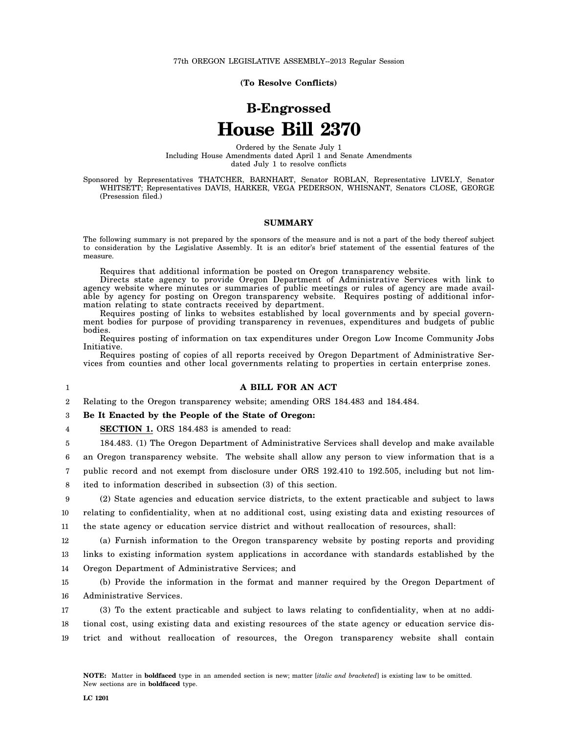**(To Resolve Conflicts)**

# **B-Engrossed House Bill 2370**

Ordered by the Senate July 1 Including House Amendments dated April 1 and Senate Amendments dated July 1 to resolve conflicts

Sponsored by Representatives THATCHER, BARNHART, Senator ROBLAN, Representative LIVELY, Senator WHITSETT; Representatives DAVIS, HARKER, VEGA PEDERSON, WHISNANT, Senators CLOSE, GEORGE (Presession filed.)

### **SUMMARY**

The following summary is not prepared by the sponsors of the measure and is not a part of the body thereof subject to consideration by the Legislative Assembly. It is an editor's brief statement of the essential features of the measure.

Requires that additional information be posted on Oregon transparency website.

Directs state agency to provide Oregon Department of Administrative Services with link to agency website where minutes or summaries of public meetings or rules of agency are made available by agency for posting on Oregon transparency website. Requires posting of additional information relating to state contracts received by department.

Requires posting of links to websites established by local governments and by special government bodies for purpose of providing transparency in revenues, expenditures and budgets of public bodies.

Requires posting of information on tax expenditures under Oregon Low Income Community Jobs Initiative.

Requires posting of copies of all reports received by Oregon Department of Administrative Services from counties and other local governments relating to properties in certain enterprise zones.

1

# **A BILL FOR AN ACT**

2 Relating to the Oregon transparency website; amending ORS 184.483 and 184.484.

#### 3 **Be It Enacted by the People of the State of Oregon:**

4 **SECTION 1.** ORS 184.483 is amended to read:

5 184.483. (1) The Oregon Department of Administrative Services shall develop and make available

6 an Oregon transparency website. The website shall allow any person to view information that is a

7 public record and not exempt from disclosure under ORS 192.410 to 192.505, including but not lim-

8 ited to information described in subsection (3) of this section.

9 10 11 (2) State agencies and education service districts, to the extent practicable and subject to laws relating to confidentiality, when at no additional cost, using existing data and existing resources of the state agency or education service district and without reallocation of resources, shall:

12 13 14 (a) Furnish information to the Oregon transparency website by posting reports and providing links to existing information system applications in accordance with standards established by the Oregon Department of Administrative Services; and

15 16 (b) Provide the information in the format and manner required by the Oregon Department of Administrative Services.

17 18 19 (3) To the extent practicable and subject to laws relating to confidentiality, when at no additional cost, using existing data and existing resources of the state agency or education service district and without reallocation of resources, the Oregon transparency website shall contain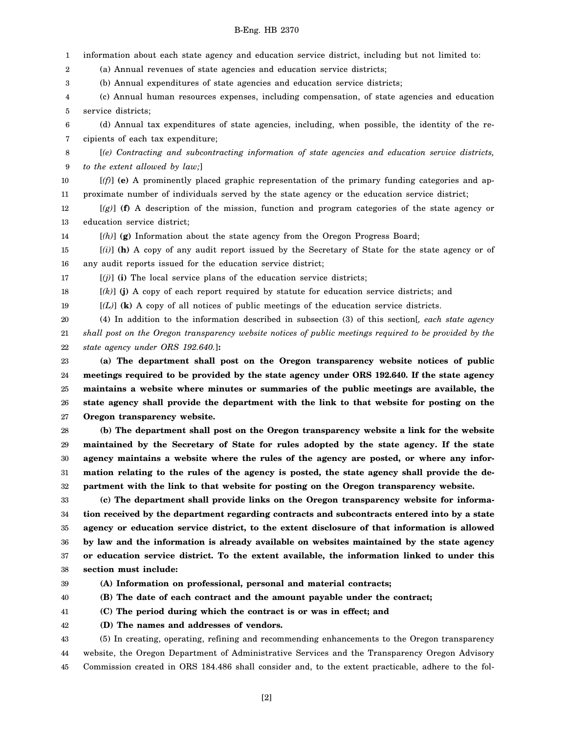1 2 3 4 5 6 7 8 9 10 11 12 13 14 15 16 17 18 19 20 21 22 23 24 25 26 27 28 29 30 31 32 33 34 35 36 37 38 39 40 41 42 information about each state agency and education service district, including but not limited to: (a) Annual revenues of state agencies and education service districts; (b) Annual expenditures of state agencies and education service districts; (c) Annual human resources expenses, including compensation, of state agencies and education service districts; (d) Annual tax expenditures of state agencies, including, when possible, the identity of the recipients of each tax expenditure; [*(e) Contracting and subcontracting information of state agencies and education service districts, to the extent allowed by law;*] [*(f)*] **(e)** A prominently placed graphic representation of the primary funding categories and approximate number of individuals served by the state agency or the education service district; [*(g)*] **(f)** A description of the mission, function and program categories of the state agency or education service district; [*(h)*] **(g)** Information about the state agency from the Oregon Progress Board; [*(i)*] **(h)** A copy of any audit report issued by the Secretary of State for the state agency or of any audit reports issued for the education service district;  $[(j)]$  (i) The local service plans of the education service districts; [*(k)*] **(j)** A copy of each report required by statute for education service districts; and [*(L)*] **(k)** A copy of all notices of public meetings of the education service districts. (4) In addition to the information described in subsection (3) of this section[*, each state agency shall post on the Oregon transparency website notices of public meetings required to be provided by the state agency under ORS 192.640.*]**: (a) The department shall post on the Oregon transparency website notices of public meetings required to be provided by the state agency under ORS 192.640. If the state agency maintains a website where minutes or summaries of the public meetings are available, the state agency shall provide the department with the link to that website for posting on the Oregon transparency website. (b) The department shall post on the Oregon transparency website a link for the website maintained by the Secretary of State for rules adopted by the state agency. If the state agency maintains a website where the rules of the agency are posted, or where any information relating to the rules of the agency is posted, the state agency shall provide the department with the link to that website for posting on the Oregon transparency website. (c) The department shall provide links on the Oregon transparency website for information received by the department regarding contracts and subcontracts entered into by a state agency or education service district, to the extent disclosure of that information is allowed by law and the information is already available on websites maintained by the state agency or education service district. To the extent available, the information linked to under this section must include: (A) Information on professional, personal and material contracts; (B) The date of each contract and the amount payable under the contract; (C) The period during which the contract is or was in effect; and (D) The names and addresses of vendors.**

43 44 45 (5) In creating, operating, refining and recommending enhancements to the Oregon transparency website, the Oregon Department of Administrative Services and the Transparency Oregon Advisory Commission created in ORS 184.486 shall consider and, to the extent practicable, adhere to the fol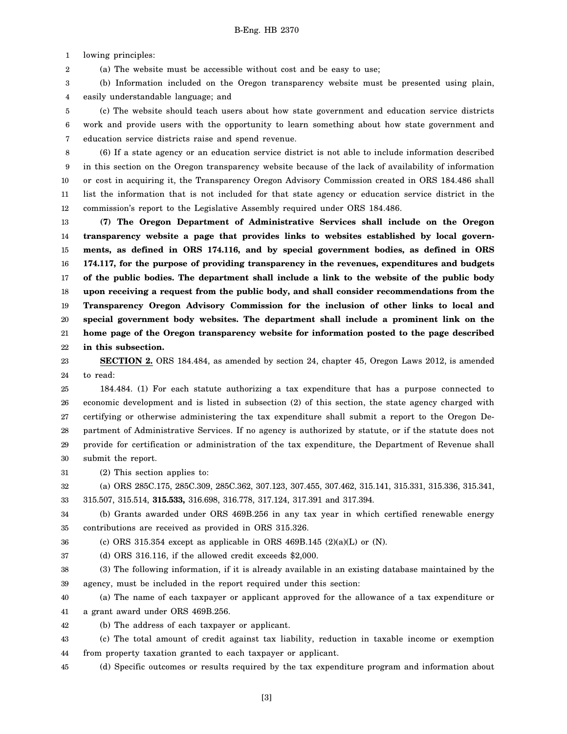1 lowing principles:

2 (a) The website must be accessible without cost and be easy to use;

3 4 (b) Information included on the Oregon transparency website must be presented using plain, easily understandable language; and

5 6 7 (c) The website should teach users about how state government and education service districts work and provide users with the opportunity to learn something about how state government and education service districts raise and spend revenue.

8 9 10 11 12 (6) If a state agency or an education service district is not able to include information described in this section on the Oregon transparency website because of the lack of availability of information or cost in acquiring it, the Transparency Oregon Advisory Commission created in ORS 184.486 shall list the information that is not included for that state agency or education service district in the commission's report to the Legislative Assembly required under ORS 184.486.

13 14 15 16 17 18 19 20 21 22 **(7) The Oregon Department of Administrative Services shall include on the Oregon transparency website a page that provides links to websites established by local governments, as defined in ORS 174.116, and by special government bodies, as defined in ORS 174.117, for the purpose of providing transparency in the revenues, expenditures and budgets of the public bodies. The department shall include a link to the website of the public body upon receiving a request from the public body, and shall consider recommendations from the Transparency Oregon Advisory Commission for the inclusion of other links to local and special government body websites. The department shall include a prominent link on the home page of the Oregon transparency website for information posted to the page described in this subsection.**

23 24 **SECTION 2.** ORS 184.484, as amended by section 24, chapter 45, Oregon Laws 2012, is amended to read:

25 26 27 28 29 30 184.484. (1) For each statute authorizing a tax expenditure that has a purpose connected to economic development and is listed in subsection (2) of this section, the state agency charged with certifying or otherwise administering the tax expenditure shall submit a report to the Oregon Department of Administrative Services. If no agency is authorized by statute, or if the statute does not provide for certification or administration of the tax expenditure, the Department of Revenue shall submit the report.

31 (2) This section applies to:

32 33 (a) ORS 285C.175, 285C.309, 285C.362, 307.123, 307.455, 307.462, 315.141, 315.331, 315.336, 315.341, 315.507, 315.514, **315.533,** 316.698, 316.778, 317.124, 317.391 and 317.394.

34 35 (b) Grants awarded under ORS 469B.256 in any tax year in which certified renewable energy contributions are received as provided in ORS 315.326.

36 (c) ORS 315.354 except as applicable in ORS 469B.145  $(2)(a)(L)$  or  $(N)$ .

37 (d) ORS 316.116, if the allowed credit exceeds \$2,000.

38 39 (3) The following information, if it is already available in an existing database maintained by the agency, must be included in the report required under this section:

40 41 (a) The name of each taxpayer or applicant approved for the allowance of a tax expenditure or a grant award under ORS 469B.256.

42 (b) The address of each taxpayer or applicant.

43 44 (c) The total amount of credit against tax liability, reduction in taxable income or exemption from property taxation granted to each taxpayer or applicant.

45 (d) Specific outcomes or results required by the tax expenditure program and information about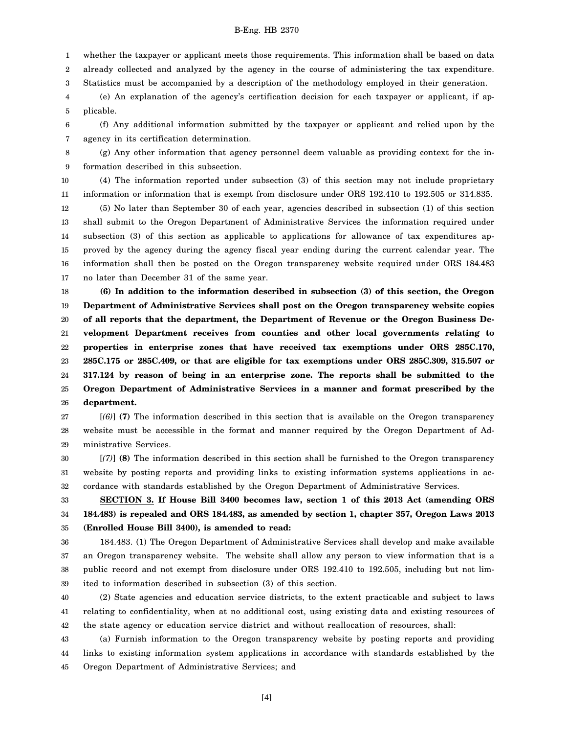1 whether the taxpayer or applicant meets those requirements. This information shall be based on data

2 already collected and analyzed by the agency in the course of administering the tax expenditure.

3 Statistics must be accompanied by a description of the methodology employed in their generation.

4 5 (e) An explanation of the agency's certification decision for each taxpayer or applicant, if applicable.

6 7 (f) Any additional information submitted by the taxpayer or applicant and relied upon by the agency in its certification determination.

8 9 (g) Any other information that agency personnel deem valuable as providing context for the information described in this subsection.

10 11 (4) The information reported under subsection (3) of this section may not include proprietary information or information that is exempt from disclosure under ORS 192.410 to 192.505 or 314.835.

12 13 14 15 16 17 (5) No later than September 30 of each year, agencies described in subsection (1) of this section shall submit to the Oregon Department of Administrative Services the information required under subsection (3) of this section as applicable to applications for allowance of tax expenditures approved by the agency during the agency fiscal year ending during the current calendar year. The information shall then be posted on the Oregon transparency website required under ORS 184.483 no later than December 31 of the same year.

18 19 20 21 22 23 24 25 26 **(6) In addition to the information described in subsection (3) of this section, the Oregon Department of Administrative Services shall post on the Oregon transparency website copies of all reports that the department, the Department of Revenue or the Oregon Business Development Department receives from counties and other local governments relating to properties in enterprise zones that have received tax exemptions under ORS 285C.170, 285C.175 or 285C.409, or that are eligible for tax exemptions under ORS 285C.309, 315.507 or 317.124 by reason of being in an enterprise zone. The reports shall be submitted to the Oregon Department of Administrative Services in a manner and format prescribed by the department.**

27 28 29 [*(6)*] **(7)** The information described in this section that is available on the Oregon transparency website must be accessible in the format and manner required by the Oregon Department of Administrative Services.

30 31 32 [*(7)*] **(8)** The information described in this section shall be furnished to the Oregon transparency website by posting reports and providing links to existing information systems applications in accordance with standards established by the Oregon Department of Administrative Services.

33 34 35 **SECTION 3. If House Bill 3400 becomes law, section 1 of this 2013 Act (amending ORS 184.483) is repealed and ORS 184.483, as amended by section 1, chapter 357, Oregon Laws 2013 (Enrolled House Bill 3400), is amended to read:**

36 37 38 39 184.483. (1) The Oregon Department of Administrative Services shall develop and make available an Oregon transparency website. The website shall allow any person to view information that is a public record and not exempt from disclosure under ORS 192.410 to 192.505, including but not limited to information described in subsection (3) of this section.

40 41 42 (2) State agencies and education service districts, to the extent practicable and subject to laws relating to confidentiality, when at no additional cost, using existing data and existing resources of the state agency or education service district and without reallocation of resources, shall:

43 44 45 (a) Furnish information to the Oregon transparency website by posting reports and providing links to existing information system applications in accordance with standards established by the Oregon Department of Administrative Services; and

[4]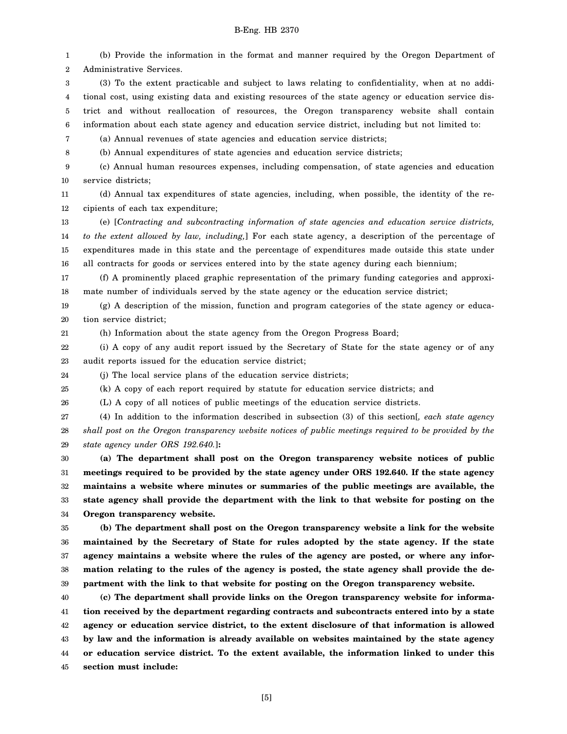(b) Provide the information in the format and manner required by the Oregon Department of

1

2 3 4 5 6 7 8 9 10 11 12 13 14 15 16 17 18 19 20 21 22 23 24 25 26 27 28 29 30 31 32 33 34 35 36 37 38 39 40 41 42 43 44 45 Administrative Services. (3) To the extent practicable and subject to laws relating to confidentiality, when at no additional cost, using existing data and existing resources of the state agency or education service district and without reallocation of resources, the Oregon transparency website shall contain information about each state agency and education service district, including but not limited to: (a) Annual revenues of state agencies and education service districts; (b) Annual expenditures of state agencies and education service districts; (c) Annual human resources expenses, including compensation, of state agencies and education service districts; (d) Annual tax expenditures of state agencies, including, when possible, the identity of the recipients of each tax expenditure; (e) [*Contracting and subcontracting information of state agencies and education service districts, to the extent allowed by law, including,*] For each state agency, a description of the percentage of expenditures made in this state and the percentage of expenditures made outside this state under all contracts for goods or services entered into by the state agency during each biennium; (f) A prominently placed graphic representation of the primary funding categories and approximate number of individuals served by the state agency or the education service district; (g) A description of the mission, function and program categories of the state agency or education service district; (h) Information about the state agency from the Oregon Progress Board; (i) A copy of any audit report issued by the Secretary of State for the state agency or of any audit reports issued for the education service district; (j) The local service plans of the education service districts; (k) A copy of each report required by statute for education service districts; and (L) A copy of all notices of public meetings of the education service districts. (4) In addition to the information described in subsection (3) of this section[*, each state agency shall post on the Oregon transparency website notices of public meetings required to be provided by the state agency under ORS 192.640.*]**: (a) The department shall post on the Oregon transparency website notices of public meetings required to be provided by the state agency under ORS 192.640. If the state agency maintains a website where minutes or summaries of the public meetings are available, the state agency shall provide the department with the link to that website for posting on the Oregon transparency website. (b) The department shall post on the Oregon transparency website a link for the website maintained by the Secretary of State for rules adopted by the state agency. If the state agency maintains a website where the rules of the agency are posted, or where any information relating to the rules of the agency is posted, the state agency shall provide the department with the link to that website for posting on the Oregon transparency website. (c) The department shall provide links on the Oregon transparency website for information received by the department regarding contracts and subcontracts entered into by a state agency or education service district, to the extent disclosure of that information is allowed by law and the information is already available on websites maintained by the state agency or education service district. To the extent available, the information linked to under this section must include:**